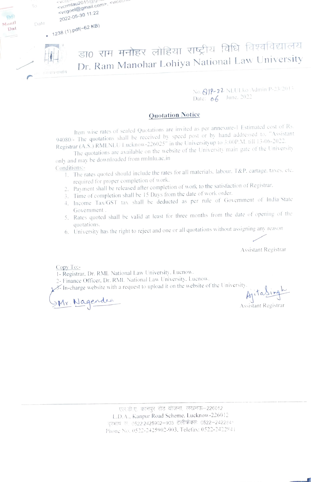

No.Q1P-22 NLULko Admin P-23/201 Date: **06** June. 2022

## Quotation Notice

Item wise rates of sealed Quotations are invited as per annexure-1 Estimated cost of Rs. 94080/- The quotations shall be received by speed post or by hand addressed to. "Assistant Registrar (A.S.) RMLNLU Lucknow-226025" in the Universityup to 3:00P.M. till 13-06-2022.

The quotations are available on the website of the University main gate of the University only and may be downloaded from rmlnlu.ac.in

Conditions:-

- 1. The rates quoted should include the rates for all materials. labour. T&P, cartage, taxes, etc. required for proper completion of work.
- Payment shall be released after completion of work to the satistaction of Registrar.
- 3. Time of completion shall be 15 Days from the date of work order.
- Income Tax/GST tax shall be deducted as per rule of Government of India State GOvernment.
- 5. Rates quoted shall be valid at least for three months from the date of opening of the quotations.
- quotations. 6. University has the right to reject and one or all quotations without assigning any reason

Assistant Registrar

Copy To:

- 1- Registrar, Dr. RML National Law University. Lucnow.
- 2- Finance Officer. Dr. RML National Law University. Lucnow
- $\mathcal{F}$ -In-charge website with a request to upload it on the website of the University.

Mr. Nagendee

Ajitasingh

Assistant Registrar

एल.डी.ए. कानपुर रोड योजना, लखनऊ-226012 L.D.A.. Kanpur Road Scheme. Lucknow-226012 दरभाष सं 0522.2425902–903 टेलीफेंक्सः 0522–2422841 Phone No. 0522-2425902-903. Telefax: 0522-242294